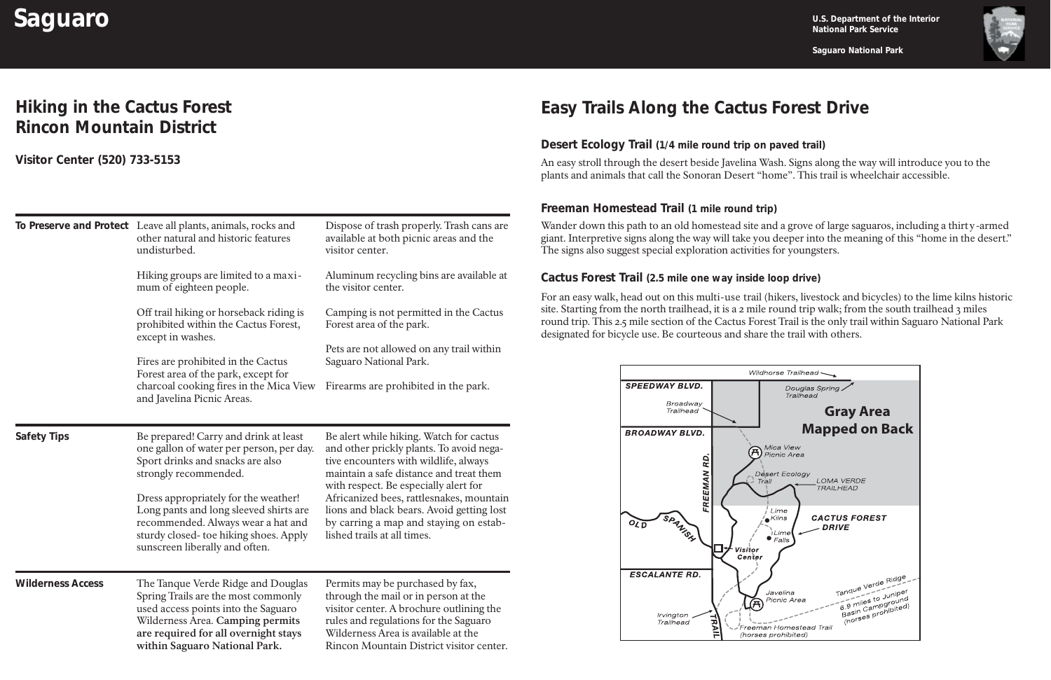

**Saguaro National Park**

# **Saguaro U.S. Department of the Interior**<br> **Saguaro U.S. Department of the Interior**

## **Hiking in the Cactus Forest Rincon Mountain District**

### **Visitor Center (520) 733-5153**

|                          | To Preserve and Protect Leave all plants, animals, rocks and                                                                                                                                                                  | Dispose of trash properly. Trash cans are                                                                                                                                                                                                        |
|--------------------------|-------------------------------------------------------------------------------------------------------------------------------------------------------------------------------------------------------------------------------|--------------------------------------------------------------------------------------------------------------------------------------------------------------------------------------------------------------------------------------------------|
|                          | other natural and historic features<br>undisturbed.                                                                                                                                                                           | available at both picnic areas and the<br>visitor center.                                                                                                                                                                                        |
|                          | Hiking groups are limited to a maxi-<br>mum of eighteen people.                                                                                                                                                               | Aluminum recycling bins are available at<br>the visitor center.                                                                                                                                                                                  |
|                          | Off trail hiking or horseback riding is<br>prohibited within the Cactus Forest,<br>except in washes.                                                                                                                          | Camping is not permitted in the Cactus<br>Forest area of the park.                                                                                                                                                                               |
|                          | Fires are prohibited in the Cactus<br>Forest area of the park, except for<br>charcoal cooking fires in the Mica View<br>and Javelina Picnic Areas.                                                                            | Pets are not allowed on any trail within<br>Saguaro National Park.                                                                                                                                                                               |
|                          |                                                                                                                                                                                                                               | Firearms are prohibited in the park.                                                                                                                                                                                                             |
| <b>Safety Tips</b>       | Be prepared! Carry and drink at least<br>one gallon of water per person, per day.<br>Sport drinks and snacks are also<br>strongly recommended.                                                                                | Be alert while hiking. Watch for cactus<br>and other prickly plants. To avoid nega-<br>tive encounters with wildlife, always<br>maintain a safe distance and treat them<br>with respect. Be especially alert for                                 |
|                          | Dress appropriately for the weather!<br>Long pants and long sleeved shirts are<br>recommended. Always wear a hat and<br>sturdy closed-toe hiking shoes. Apply<br>sunscreen liberally and often.                               | Africanized bees, rattlesnakes, mountain<br>lions and black bears. Avoid getting lost<br>by carring a map and staying on estab-<br>lished trails at all times.                                                                                   |
| <b>Wilderness Access</b> | The Tanque Verde Ridge and Douglas<br>Spring Trails are the most commonly<br>used access points into the Saguaro<br>Wilderness Area. Camping permits<br>are required for all overnight stays<br>within Saguaro National Park. | Permits may be purchased by fax,<br>through the mail or in person at the<br>visitor center. A brochure outlining the<br>rules and regulations for the Saguaro<br>Wilderness Area is available at the<br>Rincon Mountain District visitor center. |

### **Desert Ecology Trail (1/4 mile round trip on paved trail)**

### **Freeman Homestead Trail (1 mile round trip)**

#### **Cactus Forest Trail (2.5 mile one way inside loop drive)**

# **Easy Trails Along the Cactus Forest Drive**

An easy stroll through the desert beside Javelina Wash. Signs along the way will introduce you to the plants and animals that call the Sonoran Desert "home". This trail is wheelchair accessible.

Wander down this path to an old homestead site and a grove of large saguaros, including a thirty-armed giant. Interpretive signs along the way will take you deeper into the meaning of this "home in the desert." The signs also suggest special exploration activities for youngsters.

For an easy walk, head out on this multi-use trail (hikers, livestock and bicycles) to the lime kilns historic site. Starting from the north trailhead, it is a 2 mile round trip walk; from the south trailhead 3 miles round trip. This 2.5 mile section of the Cactus Forest Trail is the only trail within Saguaro National Park designated for bicycle use. Be courteous and share the trail with others.